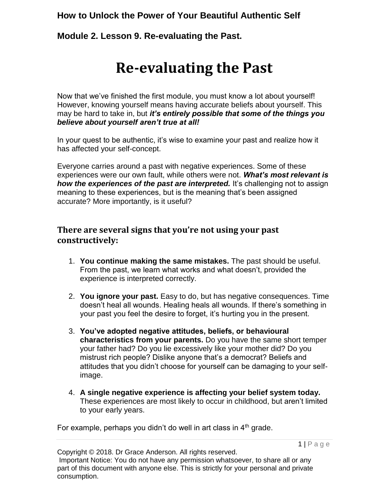**Module 2. Lesson 9. Re-evaluating the Past.**

# **Re-evaluating the Past**

Now that we've finished the first module, you must know a lot about yourself! However, knowing yourself means having accurate beliefs about yourself. This may be hard to take in, but *it's entirely possible that some of the things you believe about yourself aren't true at all!* 

In your quest to be authentic, it's wise to examine your past and realize how it has affected your self-concept.

Everyone carries around a past with negative experiences. Some of these experiences were our own fault, while others were not. *What's most relevant is how the experiences of the past are interpreted.* It's challenging not to assign meaning to these experiences, but is the meaning that's been assigned accurate? More importantly, is it useful?

## **There are several signs that you're not using your past constructively:**

- 1. **You continue making the same mistakes.** The past should be useful. From the past, we learn what works and what doesn't, provided the experience is interpreted correctly.
- 2. **You ignore your past.** Easy to do, but has negative consequences. Time doesn't heal all wounds. Healing heals all wounds. If there's something in your past you feel the desire to forget, it's hurting you in the present.
- 3. **You've adopted negative attitudes, beliefs, or behavioural characteristics from your parents.** Do you have the same short temper your father had? Do you lie excessively like your mother did? Do you mistrust rich people? Dislike anyone that's a democrat? Beliefs and attitudes that you didn't choose for yourself can be damaging to your selfimage.
- 4. **A single negative experience is affecting your belief system today.** These experiences are most likely to occur in childhood, but aren't limited to your early years.

For example, perhaps you didn't do well in art class in  $4<sup>th</sup>$  grade.

Copyright © 2018. Dr Grace Anderson. All rights reserved. Important Notice: You do not have any permission whatsoever, to share all or any part of this document with anyone else. This is strictly for your personal and private consumption.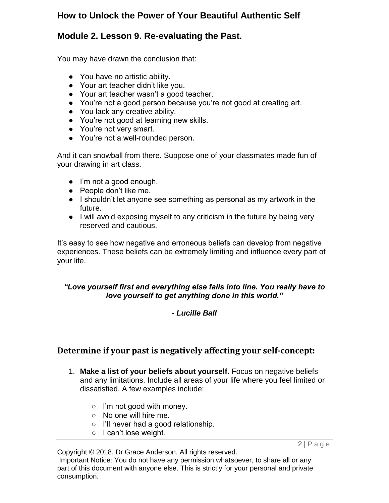## **Module 2. Lesson 9. Re-evaluating the Past.**

You may have drawn the conclusion that:

- You have no artistic ability.
- Your art teacher didn't like you.
- Your art teacher wasn't a good teacher.
- You're not a good person because you're not good at creating art.
- You lack any creative ability.
- You're not good at learning new skills.
- You're not very smart.
- You're not a well-rounded person.

And it can snowball from there. Suppose one of your classmates made fun of your drawing in art class.

- I'm not a good enough.
- People don't like me.
- I shouldn't let anyone see something as personal as my artwork in the future.
- I will avoid exposing myself to any criticism in the future by being very reserved and cautious.

It's easy to see how negative and erroneous beliefs can develop from negative experiences. These beliefs can be extremely limiting and influence every part of your life.

#### *"Love yourself first and everything else falls into line. You really have to love yourself to get anything done in this world."*

#### *- Lucille Ball*

#### **Determine if your past is negatively affecting your self-concept:**

- 1. **Make a list of your beliefs about yourself.** Focus on negative beliefs and any limitations. Include all areas of your life where you feel limited or dissatisfied. A few examples include:
	- $\circ$  I'm not good with money.
	- No one will hire me.
	- I'll never had a good relationship.
	- I can't lose weight.

 $2|P$  a g e

Copyright © 2018. Dr Grace Anderson. All rights reserved. Important Notice: You do not have any permission whatsoever, to share all or any part of this document with anyone else. This is strictly for your personal and private consumption.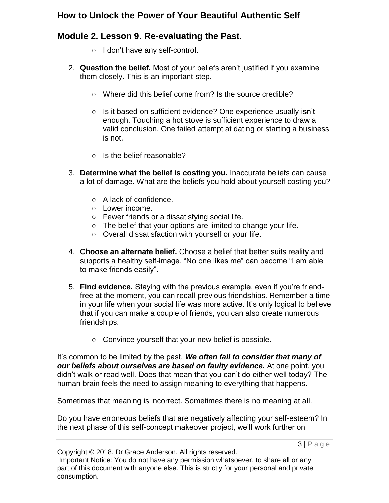## **Module 2. Lesson 9. Re-evaluating the Past.**

- I don't have any self-control.
- 2. **Question the belief.** Most of your beliefs aren't justified if you examine them closely. This is an important step.
	- Where did this belief come from? Is the source credible?
	- Is it based on sufficient evidence? One experience usually isn't enough. Touching a hot stove is sufficient experience to draw a valid conclusion. One failed attempt at dating or starting a business is not.
	- Is the belief reasonable?
- 3. **Determine what the belief is costing you.** Inaccurate beliefs can cause a lot of damage. What are the beliefs you hold about yourself costing you?
	- A lack of confidence.
	- Lower income.
	- Fewer friends or a dissatisfying social life.
	- The belief that your options are limited to change your life.
	- Overall dissatisfaction with yourself or your life.
- 4. **Choose an alternate belief.** Choose a belief that better suits reality and supports a healthy self-image. "No one likes me" can become "I am able to make friends easily".
- 5. **Find evidence.** Staying with the previous example, even if you're friendfree at the moment, you can recall previous friendships. Remember a time in your life when your social life was more active. It's only logical to believe that if you can make a couple of friends, you can also create numerous friendships.
	- Convince yourself that your new belief is possible.

It's common to be limited by the past. *We often fail to consider that many of our beliefs about ourselves are based on faulty evidence.* At one point, you didn't walk or read well. Does that mean that you can't do either well today? The human brain feels the need to assign meaning to everything that happens.

Sometimes that meaning is incorrect. Sometimes there is no meaning at all.

Do you have erroneous beliefs that are negatively affecting your self-esteem? In the next phase of this self-concept makeover project, we'll work further on

Copyright © 2018. Dr Grace Anderson. All rights reserved. Important Notice: You do not have any permission whatsoever, to share all or any part of this document with anyone else. This is strictly for your personal and private consumption.